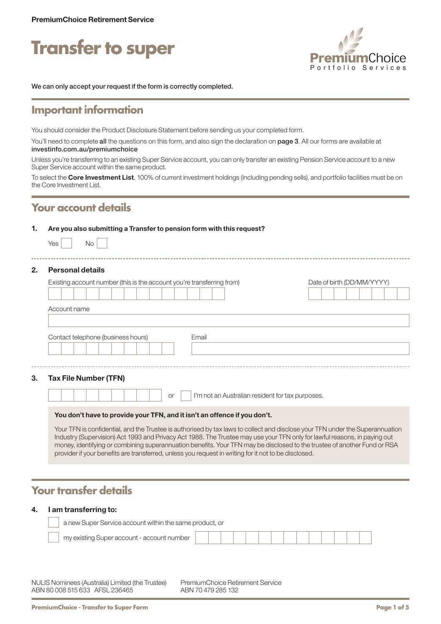



We can only accept your request if the form is correctly completed.

## **Important information**

You should consider the Product Disclosure Statement before sending us your completed form.

You'll need to complete all the questions on this form, and also sign the declaration on page 3. All our forms are available at [investinfo.com.au/premiumchoice](http://investinfo.com.au/premiumchoice)

Unless you're transferring to an existing Super Service account, you can only transfer an existing Pension Service account to a new Super Service account within the same product.

To select the Core Investment List, 100% of current investment holdings (Including pending sells), and portfolio facilities must be on the Core Investment List.

# **Your account details**

#### 1. Are you also submitting a Transfer to pension form with this request?

| Yes | Nο |  |
|-----|----|--|
|     |    |  |

#### 2. Personal details

| Existing account number (this is the account you're transferring from)                                                                                                                                                                                     | Date of birth (DD/MM/YYYY) |
|------------------------------------------------------------------------------------------------------------------------------------------------------------------------------------------------------------------------------------------------------------|----------------------------|
| Account name                                                                                                                                                                                                                                               |                            |
| Contact telephone (business hours)<br>Email                                                                                                                                                                                                                |                            |
|                                                                                                                                                                                                                                                            |                            |
| <b>Tax File Number (TFN)</b>                                                                                                                                                                                                                               |                            |
| I'm not an Australian resident for tax purposes.<br><b>or</b>                                                                                                                                                                                              |                            |
| You don't have to provide your TFN, and it isn't an offence if you don't.                                                                                                                                                                                  |                            |
| Your TFN is confidential, and the Trustee is authorised by tax laws to collect and disclose your TFN under the Superannuation<br>Industry (Supervision) Act 1993 and Privacy Act 1988. The Trustee may use your TFN only for lawful reasons, in paying out |                            |

money, identifying or combining superannuation benefits. Your TFN may be disclosed to the trustee of another Fund or RSA

provider if your benefits are transferred, unless you request in writing for it not to be disclosed.

# **Your transfer details**

#### 4. I am transferring to:

| a new Super Service account within the same product, or |  |  |  |  |  |  |  |
|---------------------------------------------------------|--|--|--|--|--|--|--|
| my existing Super account - account number              |  |  |  |  |  |  |  |

NULIS Nominees (Australia) Limited (the Trustee) ABN 80 008 515 633 AFSL 236465

PremiumChoice Retirement Service ABN 70 479 285 132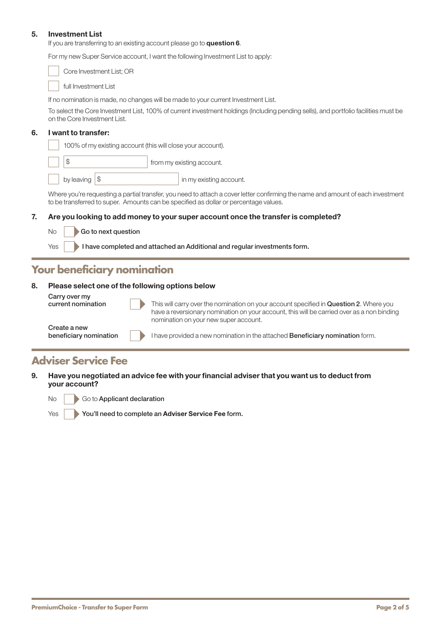#### 5. Investment List

If you are transferring to an existing account please go to question 6.

For my new Super Service account, I want the following Investment List to apply:

Core Investment List; OR full Investment List

If no nomination is made, no changes will be made to your current Investment List.

To select the Core Investment List, 100% of current investment holdings (Including pending sells), and portfolio facilities must be on the Core Investment List.

#### 6. I want to transfer:

100% of my existing account (this will close your account).

\$ from my existing account.

by leaving  $|\$ 

Where you're requesting a partial transfer, you need to attach a cover letter confirming the name and amount of each investment to be transferred to super. Amounts can be specified as dollar or percentage values.

#### 7. Are you looking to add money to your super account once the transfer is completed?

 $\overline{\phantom{a}}$  Go to next question

Yes **I** have completed and attached an Additional and regular investments form.

### **Your beneficiary nomination**

#### 8. Please select one of the following options below

Carry over my<br>current nomination

This will carry over the nomination on your account specified in **Question 2.** Where you have a reversionary nomination on your account, this will be carried over as a non binding nomination on your new super account.

Create a new<br>beneficiary nomination

I have provided a new nomination in the attached Beneficiary nomination form.

### **Adviser Service Fee**

9. Have you negotiated an advice fee with your financial adviser that you want us to deduct from your account?

No **Go to Applicant declaration** 

Yes **X** You'll need to complete an Adviser Service Fee form.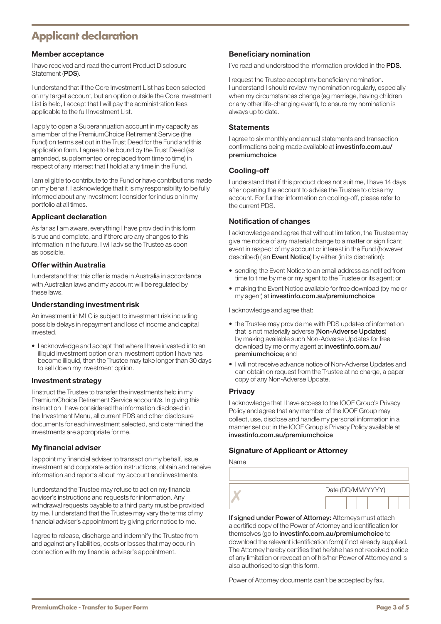# **Applicant declaration**

### Member acceptance

I have received and read the current Product Disclosure Statement (PDS).

I understand that if the Core Investment List has been selected on my target account, but an option outside the Core Investment List is held, I accept that I will pay the administration fees applicable to the full Investment List.

I apply to open a Superannuation account in my capacity as a member of the PremiumChoice Retirement Service (the Fund) on terms set out in the Trust Deed for the Fund and this application form. I agree to be bound by the Trust Deed (as amended, supplemented or replaced from time to time) in respect of any interest that I hold at any time in the Fund.

I am eligible to contribute to the Fund or have contributions made on my behalf. I acknowledge that it is my responsibility to be fully informed about any investment I consider for inclusion in my portfolio at all times.

#### Applicant declaration

As far as I am aware, everything I have provided in this form is true and complete, and if there are any changes to this information in the future, I will advise the Trustee as soon as possible.

#### Offer within Australia

I understand that this offer is made in Australia in accordance with Australian laws and my account will be regulated by these laws.

#### Understanding investment risk

An investment in MLC is subject to investment risk including possible delays in repayment and loss of income and capital invested.

• I acknowledge and accept that where I have invested into an illiquid investment option or an investment option I have has become illiquid, then the Trustee may take longer than 30 days to sell down my investment option.

#### Investment strategy

I instruct the Trustee to transfer the investments held in my PremiumChoice Retirement Service account/s. In giving this instruction I have considered the information disclosed in the Investment Menu, all current PDS and other disclosure documents for each investment selected, and determined the investments are appropriate for me.

#### My financial adviser

I appoint my financial adviser to transact on my behalf, issue investment and corporate action instructions, obtain and receive information and reports about my account and investments.

I understand the Trustee may refuse to act on my financial adviser's instructions and requests for information. Any withdrawal requests payable to a third party must be provided by me. I understand that the Trustee may vary the terms of my financial adviser's appointment by giving prior notice to me.

I agree to release, discharge and indemnify the Trustee from and against any liabilities, costs or losses that may occur in connection with my financial adviser's appointment.

#### Beneficiary nomination

I've read and understood the information provided in the PDS.

I request the Trustee accept my beneficiary nomination. I understand I should review my nomination regularly, especially when my circumstances change (eg marriage, having children or any other life-changing event), to ensure my nomination is always up to date.

#### **Statements**

I agree to six monthly and annual statements and transaction confirmations being made available at [investinfo.com.au/](http://investinfo.com.au/premiumchoice) [premiumchoice](http://investinfo.com.au/premiumchoice)

#### Cooling-off

I understand that if this product does not suit me, I have 14 days after opening the account to advise the Trustee to close my account. For further information on cooling-off, please refer to the current PDS.

#### Notification of changes

I acknowledge and agree that without limitation, the Trustee may give me notice of any material change to a matter or significant event in respect of my account or interest in the Fund (however described) ( an Event Notice) by either (in its discretion):

- sending the Event Notice to an email address as notified from time to time by me or my agent to the Trustee or its agent; or
- making the Event Notice available for free download (by me or my agent) at [investinfo.com.au/premiumchoice](http://investinfo.com.au/premiumchoice)

I acknowledge and agree that:

- the Trustee may provide me with PDS updates of information that is not materially adverse (Non-Adverse Updates) by making available such Non-Adverse Updates for free download by me or my agent at [investinfo.com.au/](http://investinfo.com.au/premiumchoice) [premiumchoice](http://investinfo.com.au/premiumchoice); and
- I will not receive advance notice of Non-Adverse Updates and can obtain on request from the Trustee at no charge, a paper copy of any Non-Adverse Update.

#### **Privacy**

I acknowledge that I have access to the IOOF Group's Privacy Policy and agree that any member of the IOOF Group may collect, use, disclose and handle my personal information in a manner set out in the IOOF Group's Privacy Policy available at [investinfo.com.au/premiumchoice](http://investinfo.com.au/premiumchoice)

#### Signature of Applicant or Attorney

Name

| Date (DD/MM/YYYY) |  |  |  |  |  |
|-------------------|--|--|--|--|--|
|                   |  |  |  |  |  |

If signed under Power of Attorney: Attorneys must attach a certified copy of the Power of Attorney and identification for themselves (go to [investinfo.com.au/premiumchoice](http://investinfo.com.au/premiumchoice) to download the relevant identification form) if not already supplied. The Attorney hereby certifies that he/she has not received notice of any limitation or revocation of his/her Power of Attorney and is also authorised to sign this form.

Power of Attorney documents can't be accepted by fax.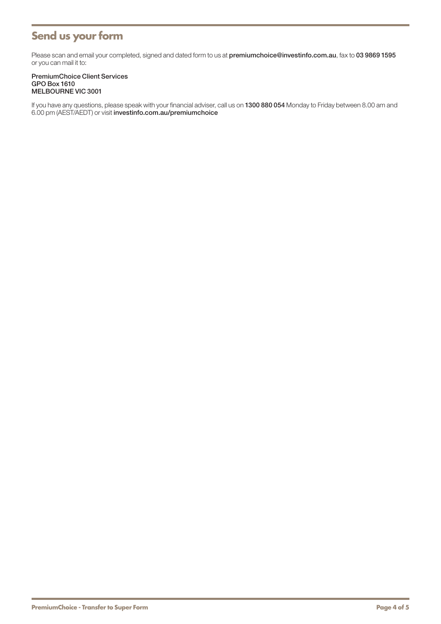# **Send us your form**

Please scan and email your completed, signed and dated form to us at [premiumchoice@investinfo.com.au](mailto:premiumchoice@investinfo.com.au), fax to 03 9869 1595 or you can mail it to:

#### PremiumChoice Client Services GPO Box 1610 MELBOURNE VIC 3001

If you have any questions, please speak with your financial adviser, call us on 1300 880 054 Monday to Friday between 8.00 am and 6.00 pm (AEST/AEDT) or visit [investinfo.com.au/premiumchoice](http://investinfo.com.au/premiumchoice)